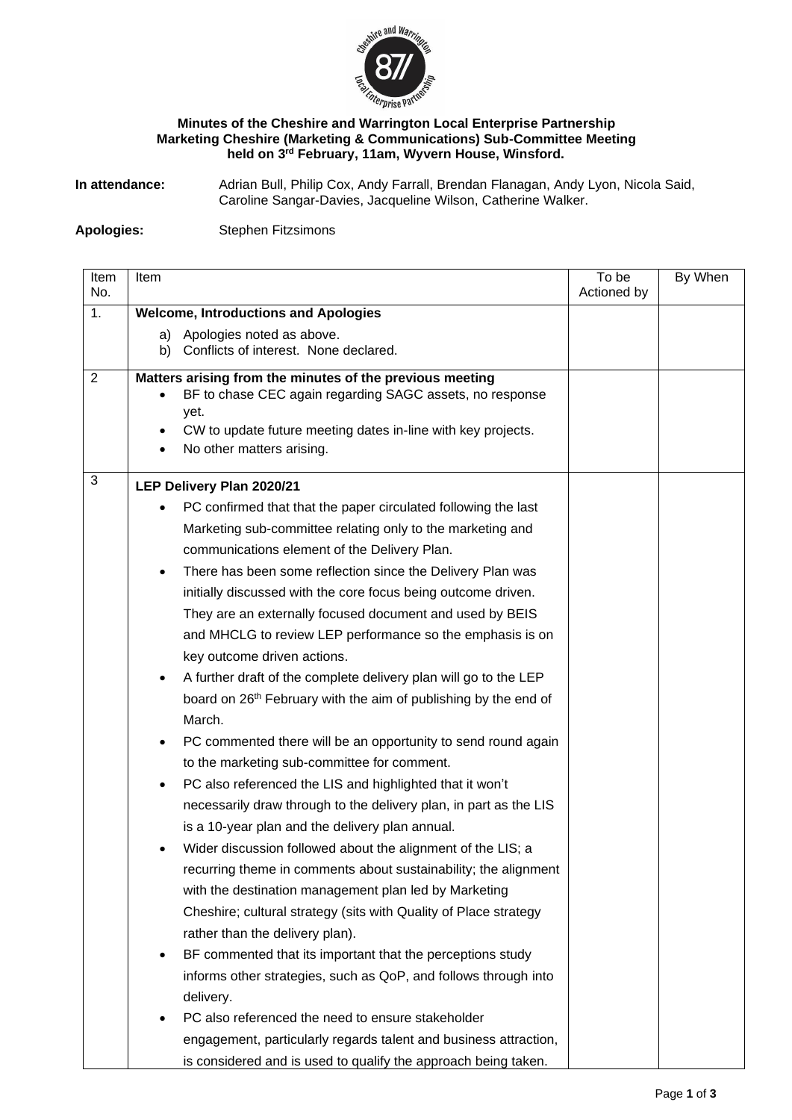

## **Minutes of the Cheshire and Warrington Local Enterprise Partnership Marketing Cheshire (Marketing & Communications) Sub-Committee Meeting held on 3 rd February, 11am, Wyvern House, Winsford.**

**In attendance:** Adrian Bull, Philip Cox, Andy Farrall, Brendan Flanagan, Andy Lyon, Nicola Said, Caroline Sangar-Davies, Jacqueline Wilson, Catherine Walker.

**Apologies:** Stephen Fitzsimons

| Item       | Item                                                                           | To be       | By When |
|------------|--------------------------------------------------------------------------------|-------------|---------|
| No.        |                                                                                | Actioned by |         |
| 1.         | <b>Welcome, Introductions and Apologies</b>                                    |             |         |
|            | Apologies noted as above.<br>a)<br>Conflicts of interest. None declared.<br>b) |             |         |
|            |                                                                                |             |         |
| 2          | Matters arising from the minutes of the previous meeting                       |             |         |
|            | BF to chase CEC again regarding SAGC assets, no response                       |             |         |
|            | yet.<br>CW to update future meeting dates in-line with key projects.           |             |         |
|            | No other matters arising.                                                      |             |         |
|            |                                                                                |             |         |
| $\sqrt{3}$ | LEP Delivery Plan 2020/21                                                      |             |         |
|            | PC confirmed that that the paper circulated following the last                 |             |         |
|            | Marketing sub-committee relating only to the marketing and                     |             |         |
|            | communications element of the Delivery Plan.                                   |             |         |
|            | There has been some reflection since the Delivery Plan was<br>$\bullet$        |             |         |
|            | initially discussed with the core focus being outcome driven.                  |             |         |
|            | They are an externally focused document and used by BEIS                       |             |         |
|            | and MHCLG to review LEP performance so the emphasis is on                      |             |         |
|            | key outcome driven actions.                                                    |             |         |
|            | A further draft of the complete delivery plan will go to the LEP<br>$\bullet$  |             |         |
|            | board on 26 <sup>th</sup> February with the aim of publishing by the end of    |             |         |
|            | March.                                                                         |             |         |
|            | PC commented there will be an opportunity to send round again<br>$\bullet$     |             |         |
|            | to the marketing sub-committee for comment.                                    |             |         |
|            | PC also referenced the LIS and highlighted that it won't<br>$\bullet$          |             |         |
|            | necessarily draw through to the delivery plan, in part as the LIS              |             |         |
|            | is a 10-year plan and the delivery plan annual.                                |             |         |
|            | Wider discussion followed about the alignment of the LIS; a                    |             |         |
|            | recurring theme in comments about sustainability; the alignment                |             |         |
|            | with the destination management plan led by Marketing                          |             |         |
|            | Cheshire; cultural strategy (sits with Quality of Place strategy               |             |         |
|            | rather than the delivery plan).                                                |             |         |
|            | BF commented that its important that the perceptions study<br>$\bullet$        |             |         |
|            | informs other strategies, such as QoP, and follows through into                |             |         |
|            | delivery.                                                                      |             |         |
|            | PC also referenced the need to ensure stakeholder                              |             |         |
|            | engagement, particularly regards talent and business attraction,               |             |         |
|            | is considered and is used to qualify the approach being taken.                 |             |         |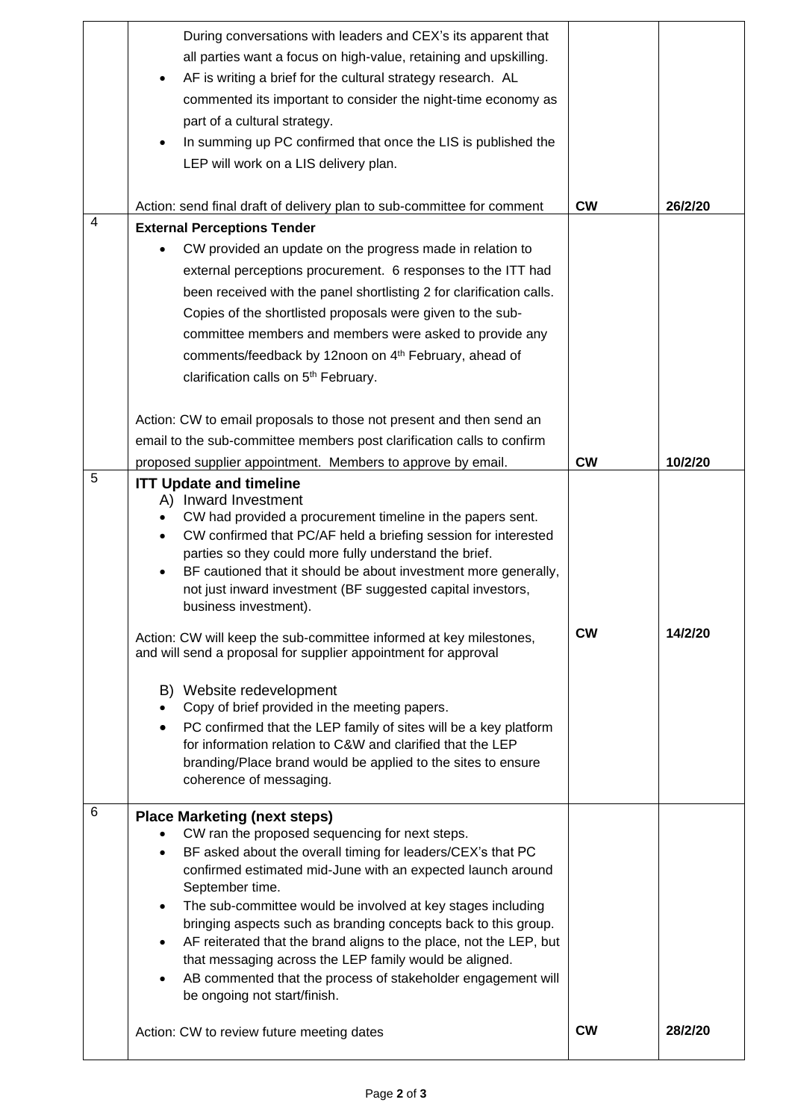|   | During conversations with leaders and CEX's its apparent that<br>all parties want a focus on high-value, retaining and upskilling.<br>AF is writing a brief for the cultural strategy research. AL<br>٠<br>commented its important to consider the night-time economy as<br>part of a cultural strategy.<br>In summing up PC confirmed that once the LIS is published the<br>٠<br>LEP will work on a LIS delivery plan.                                                                                                                                                                                                                                                                                                                                                                                                                                                                                   |           |         |
|---|-----------------------------------------------------------------------------------------------------------------------------------------------------------------------------------------------------------------------------------------------------------------------------------------------------------------------------------------------------------------------------------------------------------------------------------------------------------------------------------------------------------------------------------------------------------------------------------------------------------------------------------------------------------------------------------------------------------------------------------------------------------------------------------------------------------------------------------------------------------------------------------------------------------|-----------|---------|
|   | Action: send final draft of delivery plan to sub-committee for comment                                                                                                                                                                                                                                                                                                                                                                                                                                                                                                                                                                                                                                                                                                                                                                                                                                    | <b>CW</b> | 26/2/20 |
| 4 | <b>External Perceptions Tender</b>                                                                                                                                                                                                                                                                                                                                                                                                                                                                                                                                                                                                                                                                                                                                                                                                                                                                        |           |         |
|   | CW provided an update on the progress made in relation to<br>external perceptions procurement. 6 responses to the ITT had<br>been received with the panel shortlisting 2 for clarification calls.<br>Copies of the shortlisted proposals were given to the sub-<br>committee members and members were asked to provide any<br>comments/feedback by 12noon on 4th February, ahead of<br>clarification calls on 5 <sup>th</sup> February.                                                                                                                                                                                                                                                                                                                                                                                                                                                                   |           |         |
|   | Action: CW to email proposals to those not present and then send an                                                                                                                                                                                                                                                                                                                                                                                                                                                                                                                                                                                                                                                                                                                                                                                                                                       |           |         |
|   | email to the sub-committee members post clarification calls to confirm                                                                                                                                                                                                                                                                                                                                                                                                                                                                                                                                                                                                                                                                                                                                                                                                                                    |           |         |
|   | proposed supplier appointment. Members to approve by email.                                                                                                                                                                                                                                                                                                                                                                                                                                                                                                                                                                                                                                                                                                                                                                                                                                               | <b>CW</b> | 10/2/20 |
| 5 | <b>ITT Update and timeline</b><br>A) Inward Investment<br>CW had provided a procurement timeline in the papers sent.<br>٠<br>CW confirmed that PC/AF held a briefing session for interested<br>$\bullet$<br>parties so they could more fully understand the brief.<br>BF cautioned that it should be about investment more generally,<br>$\bullet$<br>not just inward investment (BF suggested capital investors,<br>business investment).<br>Action: CW will keep the sub-committee informed at key milestones,<br>and will send a proposal for supplier appointment for approval<br>B) Website redevelopment<br>Copy of brief provided in the meeting papers.<br>PC confirmed that the LEP family of sites will be a key platform<br>$\bullet$<br>for information relation to C&W and clarified that the LEP<br>branding/Place brand would be applied to the sites to ensure<br>coherence of messaging. | <b>CW</b> | 14/2/20 |
| 6 | <b>Place Marketing (next steps)</b><br>CW ran the proposed sequencing for next steps.<br>BF asked about the overall timing for leaders/CEX's that PC<br>٠<br>confirmed estimated mid-June with an expected launch around<br>September time.<br>The sub-committee would be involved at key stages including<br>bringing aspects such as branding concepts back to this group.<br>AF reiterated that the brand aligns to the place, not the LEP, but<br>$\bullet$<br>that messaging across the LEP family would be aligned.<br>AB commented that the process of stakeholder engagement will<br>be ongoing not start/finish.<br>Action: CW to review future meeting dates                                                                                                                                                                                                                                    | <b>CW</b> | 28/2/20 |